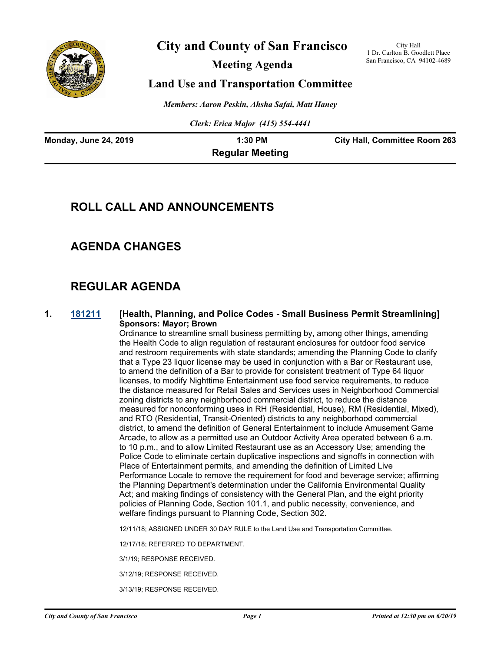

# **City and County of San Francisco**

**Meeting Agenda**

City Hall 1 Dr. Carlton B. Goodlett Place San Francisco, CA 94102-4689

# **Land Use and Transportation Committee**

*Members: Aaron Peskin, Ahsha Safai, Matt Haney*

*Clerk: Erica Major (415) 554-4441*

| <b>Monday, June 24, 2019</b> | 1:30 PM                | <b>City Hall, Committee Room 263</b> |
|------------------------------|------------------------|--------------------------------------|
|                              | <b>Regular Meeting</b> |                                      |

# **ROLL CALL AND ANNOUNCEMENTS**

# **AGENDA CHANGES**

# **REGULAR AGENDA**

### **1. [181211](http://sfgov.legistar.com/gateway.aspx?m=l&id=34082) [Health, Planning, and Police Codes - Small Business Permit Streamlining] Sponsors: Mayor; Brown**

Ordinance to streamline small business permitting by, among other things, amending the Health Code to align regulation of restaurant enclosures for outdoor food service and restroom requirements with state standards; amending the Planning Code to clarify that a Type 23 liquor license may be used in conjunction with a Bar or Restaurant use, to amend the definition of a Bar to provide for consistent treatment of Type 64 liquor licenses, to modify Nighttime Entertainment use food service requirements, to reduce the distance measured for Retail Sales and Services uses in Neighborhood Commercial zoning districts to any neighborhood commercial district, to reduce the distance measured for nonconforming uses in RH (Residential, House), RM (Residential, Mixed), and RTO (Residential, Transit-Oriented) districts to any neighborhood commercial district, to amend the definition of General Entertainment to include Amusement Game Arcade, to allow as a permitted use an Outdoor Activity Area operated between 6 a.m. to 10 p.m., and to allow Limited Restaurant use as an Accessory Use; amending the Police Code to eliminate certain duplicative inspections and signoffs in connection with Place of Entertainment permits, and amending the definition of Limited Live Performance Locale to remove the requirement for food and beverage service; affirming the Planning Department's determination under the California Environmental Quality Act; and making findings of consistency with the General Plan, and the eight priority policies of Planning Code, Section 101.1, and public necessity, convenience, and welfare findings pursuant to Planning Code, Section 302.

12/11/18; ASSIGNED UNDER 30 DAY RULE to the Land Use and Transportation Committee.

12/17/18; REFERRED TO DEPARTMENT.

3/1/19; RESPONSE RECEIVED.

3/12/19; RESPONSE RECEIVED.

3/13/19; RESPONSE RECEIVED.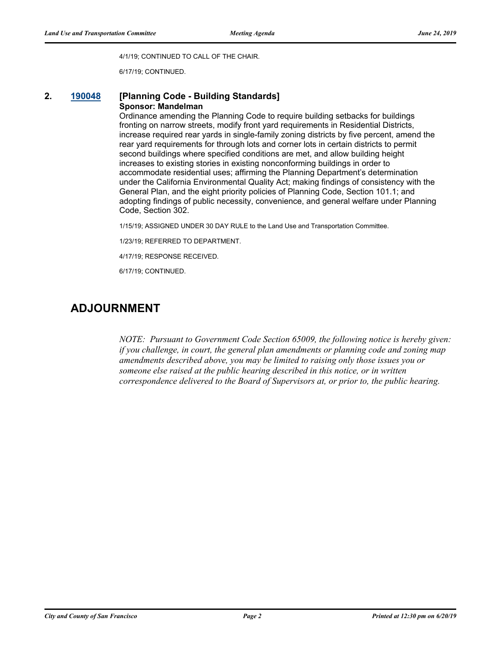4/1/19; CONTINUED TO CALL OF THE CHAIR.

6/17/19; CONTINUED.

#### **2. [190048](http://sfgov.legistar.com/gateway.aspx?m=l&id=34169) [Planning Code - Building Standards] Sponsor: Mandelman**

#### Ordinance amending the Planning Code to require building setbacks for buildings fronting on narrow streets, modify front yard requirements in Residential Districts, increase required rear yards in single-family zoning districts by five percent, amend the rear yard requirements for through lots and corner lots in certain districts to permit second buildings where specified conditions are met, and allow building height increases to existing stories in existing nonconforming buildings in order to accommodate residential uses; affirming the Planning Department's determination under the California Environmental Quality Act; making findings of consistency with the General Plan, and the eight priority policies of Planning Code, Section 101.1; and adopting findings of public necessity, convenience, and general welfare under Planning Code, Section 302.

1/15/19; ASSIGNED UNDER 30 DAY RULE to the Land Use and Transportation Committee.

1/23/19; REFERRED TO DEPARTMENT.

4/17/19; RESPONSE RECEIVED.

6/17/19; CONTINUED.

# **ADJOURNMENT**

*NOTE: Pursuant to Government Code Section 65009, the following notice is hereby given: if you challenge, in court, the general plan amendments or planning code and zoning map amendments described above, you may be limited to raising only those issues you or someone else raised at the public hearing described in this notice, or in written correspondence delivered to the Board of Supervisors at, or prior to, the public hearing.*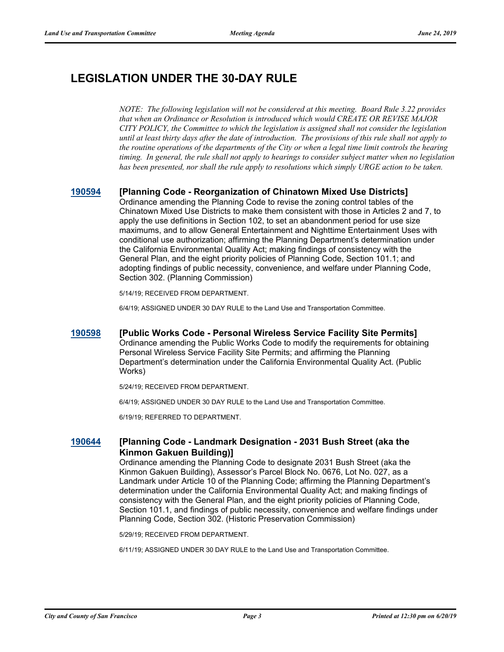# **LEGISLATION UNDER THE 30-DAY RULE**

*NOTE: The following legislation will not be considered at this meeting. Board Rule 3.22 provides that when an Ordinance or Resolution is introduced which would CREATE OR REVISE MAJOR CITY POLICY, the Committee to which the legislation is assigned shall not consider the legislation until at least thirty days after the date of introduction. The provisions of this rule shall not apply to the routine operations of the departments of the City or when a legal time limit controls the hearing timing. In general, the rule shall not apply to hearings to consider subject matter when no legislation has been presented, nor shall the rule apply to resolutions which simply URGE action to be taken.*

# **[190594](http://sfgov.legistar.com/gateway.aspx?m=l&id=34716) [Planning Code - Reorganization of Chinatown Mixed Use Districts]**

Ordinance amending the Planning Code to revise the zoning control tables of the Chinatown Mixed Use Districts to make them consistent with those in Articles 2 and 7, to apply the use definitions in Section 102, to set an abandonment period for use size maximums, and to allow General Entertainment and Nighttime Entertainment Uses with conditional use authorization; affirming the Planning Department's determination under the California Environmental Quality Act; making findings of consistency with the General Plan, and the eight priority policies of Planning Code, Section 101.1; and adopting findings of public necessity, convenience, and welfare under Planning Code, Section 302. (Planning Commission)

5/14/19; RECEIVED FROM DEPARTMENT.

6/4/19; ASSIGNED UNDER 30 DAY RULE to the Land Use and Transportation Committee.

### **[190598](http://sfgov.legistar.com/gateway.aspx?m=l&id=34720) [Public Works Code - Personal Wireless Service Facility Site Permits]** Ordinance amending the Public Works Code to modify the requirements for obtaining Personal Wireless Service Facility Site Permits; and affirming the Planning Department's determination under the California Environmental Quality Act. (Public Works)

5/24/19; RECEIVED FROM DEPARTMENT.

6/4/19; ASSIGNED UNDER 30 DAY RULE to the Land Use and Transportation Committee.

6/19/19; REFERRED TO DEPARTMENT.

### **[190644](http://sfgov.legistar.com/gateway.aspx?m=l&id=34766) [Planning Code - Landmark Designation - 2031 Bush Street (aka the Kinmon Gakuen Building)]**

Ordinance amending the Planning Code to designate 2031 Bush Street (aka the Kinmon Gakuen Building), Assessor's Parcel Block No. 0676, Lot No. 027, as a Landmark under Article 10 of the Planning Code; affirming the Planning Department's determination under the California Environmental Quality Act; and making findings of consistency with the General Plan, and the eight priority policies of Planning Code, Section 101.1, and findings of public necessity, convenience and welfare findings under Planning Code, Section 302. (Historic Preservation Commission)

5/29/19; RECEIVED FROM DEPARTMENT.

6/11/19; ASSIGNED UNDER 30 DAY RULE to the Land Use and Transportation Committee.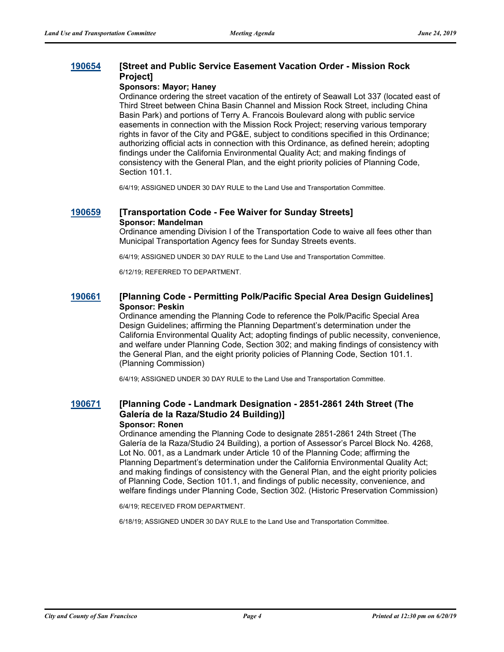### **[190654](http://sfgov.legistar.com/gateway.aspx?m=l&id=34776) [Street and Public Service Easement Vacation Order - Mission Rock Project]**

#### **Sponsors: Mayor; Haney**

Ordinance ordering the street vacation of the entirety of Seawall Lot 337 (located east of Third Street between China Basin Channel and Mission Rock Street, including China Basin Park) and portions of Terry A. Francois Boulevard along with public service easements in connection with the Mission Rock Project; reserving various temporary rights in favor of the City and PG&E, subject to conditions specified in this Ordinance; authorizing official acts in connection with this Ordinance, as defined herein; adopting findings under the California Environmental Quality Act; and making findings of consistency with the General Plan, and the eight priority policies of Planning Code, Section 101.1.

6/4/19; ASSIGNED UNDER 30 DAY RULE to the Land Use and Transportation Committee.

#### **[190659](http://sfgov.legistar.com/gateway.aspx?m=l&id=34781) [Transportation Code - Fee Waiver for Sunday Streets] Sponsor: Mandelman**

Ordinance amending Division I of the Transportation Code to waive all fees other than Municipal Transportation Agency fees for Sunday Streets events.

6/4/19; ASSIGNED UNDER 30 DAY RULE to the Land Use and Transportation Committee.

6/12/19; REFERRED TO DEPARTMENT.

### **[190661](http://sfgov.legistar.com/gateway.aspx?m=l&id=34783) [Planning Code - Permitting Polk/Pacific Special Area Design Guidelines] Sponsor: Peskin**

Ordinance amending the Planning Code to reference the Polk/Pacific Special Area Design Guidelines; affirming the Planning Department's determination under the California Environmental Quality Act; adopting findings of public necessity, convenience, and welfare under Planning Code, Section 302; and making findings of consistency with the General Plan, and the eight priority policies of Planning Code, Section 101.1. (Planning Commission)

6/4/19; ASSIGNED UNDER 30 DAY RULE to the Land Use and Transportation Committee.

#### **[190671](http://sfgov.legistar.com/gateway.aspx?m=l&id=34793) [Planning Code - Landmark Designation - 2851-2861 24th Street (The Galería de la Raza/Studio 24 Building)] Sponsor: Ronen**

Ordinance amending the Planning Code to designate 2851-2861 24th Street (The Galería de la Raza/Studio 24 Building), a portion of Assessor's Parcel Block No. 4268, Lot No. 001, as a Landmark under Article 10 of the Planning Code; affirming the Planning Department's determination under the California Environmental Quality Act; and making findings of consistency with the General Plan, and the eight priority policies of Planning Code, Section 101.1, and findings of public necessity, convenience, and welfare findings under Planning Code, Section 302. (Historic Preservation Commission)

6/4/19; RECEIVED FROM DEPARTMENT.

6/18/19; ASSIGNED UNDER 30 DAY RULE to the Land Use and Transportation Committee.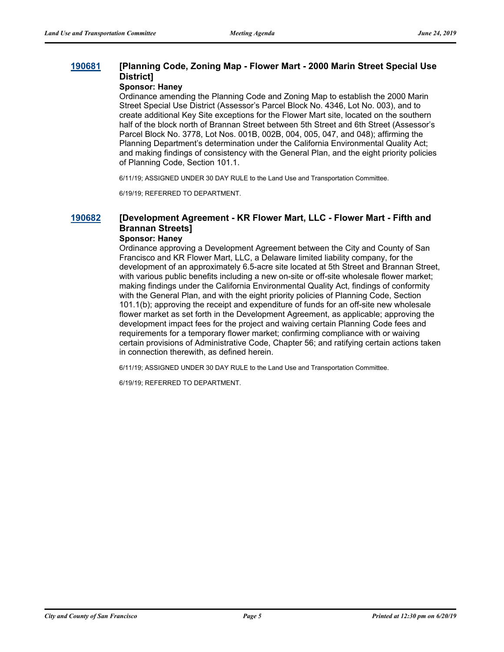### **[190681](http://sfgov.legistar.com/gateway.aspx?m=l&id=34803) [Planning Code, Zoning Map - Flower Mart - 2000 Marin Street Special Use District]**

#### **Sponsor: Haney**

Ordinance amending the Planning Code and Zoning Map to establish the 2000 Marin Street Special Use District (Assessor's Parcel Block No. 4346, Lot No. 003), and to create additional Key Site exceptions for the Flower Mart site, located on the southern half of the block north of Brannan Street between 5th Street and 6th Street (Assessor's Parcel Block No. 3778, Lot Nos. 001B, 002B, 004, 005, 047, and 048); affirming the Planning Department's determination under the California Environmental Quality Act; and making findings of consistency with the General Plan, and the eight priority policies of Planning Code, Section 101.1.

6/11/19; ASSIGNED UNDER 30 DAY RULE to the Land Use and Transportation Committee.

6/19/19; REFERRED TO DEPARTMENT.

# **[190682](http://sfgov.legistar.com/gateway.aspx?m=l&id=34804) [Development Agreement - KR Flower Mart, LLC - Flower Mart - Fifth and Brannan Streets]**

### **Sponsor: Haney**

Ordinance approving a Development Agreement between the City and County of San Francisco and KR Flower Mart, LLC, a Delaware limited liability company, for the development of an approximately 6.5-acre site located at 5th Street and Brannan Street, with various public benefits including a new on-site or off-site wholesale flower market; making findings under the California Environmental Quality Act, findings of conformity with the General Plan, and with the eight priority policies of Planning Code, Section 101.1(b); approving the receipt and expenditure of funds for an off-site new wholesale flower market as set forth in the Development Agreement, as applicable; approving the development impact fees for the project and waiving certain Planning Code fees and requirements for a temporary flower market; confirming compliance with or waiving certain provisions of Administrative Code, Chapter 56; and ratifying certain actions taken in connection therewith, as defined herein.

6/11/19; ASSIGNED UNDER 30 DAY RULE to the Land Use and Transportation Committee.

6/19/19; REFERRED TO DEPARTMENT.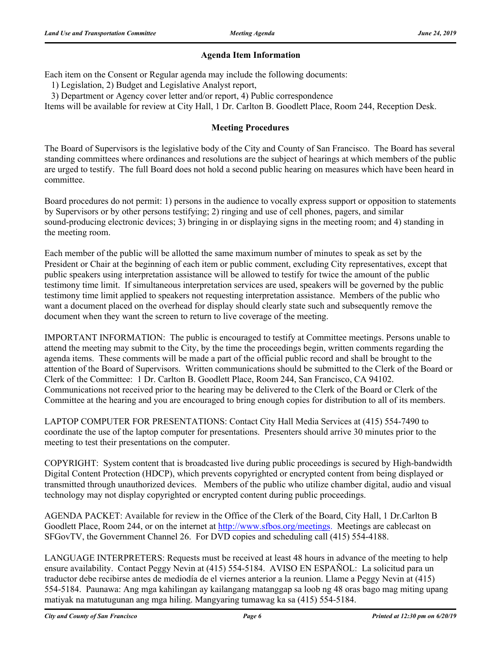## **Agenda Item Information**

Each item on the Consent or Regular agenda may include the following documents:

1) Legislation, 2) Budget and Legislative Analyst report,

3) Department or Agency cover letter and/or report, 4) Public correspondence

Items will be available for review at City Hall, 1 Dr. Carlton B. Goodlett Place, Room 244, Reception Desk.

## **Meeting Procedures**

The Board of Supervisors is the legislative body of the City and County of San Francisco. The Board has several standing committees where ordinances and resolutions are the subject of hearings at which members of the public are urged to testify. The full Board does not hold a second public hearing on measures which have been heard in committee.

Board procedures do not permit: 1) persons in the audience to vocally express support or opposition to statements by Supervisors or by other persons testifying; 2) ringing and use of cell phones, pagers, and similar sound-producing electronic devices; 3) bringing in or displaying signs in the meeting room; and 4) standing in the meeting room.

Each member of the public will be allotted the same maximum number of minutes to speak as set by the President or Chair at the beginning of each item or public comment, excluding City representatives, except that public speakers using interpretation assistance will be allowed to testify for twice the amount of the public testimony time limit. If simultaneous interpretation services are used, speakers will be governed by the public testimony time limit applied to speakers not requesting interpretation assistance. Members of the public who want a document placed on the overhead for display should clearly state such and subsequently remove the document when they want the screen to return to live coverage of the meeting.

IMPORTANT INFORMATION: The public is encouraged to testify at Committee meetings. Persons unable to attend the meeting may submit to the City, by the time the proceedings begin, written comments regarding the agenda items. These comments will be made a part of the official public record and shall be brought to the attention of the Board of Supervisors. Written communications should be submitted to the Clerk of the Board or Clerk of the Committee: 1 Dr. Carlton B. Goodlett Place, Room 244, San Francisco, CA 94102. Communications not received prior to the hearing may be delivered to the Clerk of the Board or Clerk of the Committee at the hearing and you are encouraged to bring enough copies for distribution to all of its members.

LAPTOP COMPUTER FOR PRESENTATIONS: Contact City Hall Media Services at (415) 554-7490 to coordinate the use of the laptop computer for presentations. Presenters should arrive 30 minutes prior to the meeting to test their presentations on the computer.

COPYRIGHT: System content that is broadcasted live during public proceedings is secured by High-bandwidth Digital Content Protection (HDCP), which prevents copyrighted or encrypted content from being displayed or transmitted through unauthorized devices. Members of the public who utilize chamber digital, audio and visual technology may not display copyrighted or encrypted content during public proceedings.

AGENDA PACKET: Available for review in the Office of the Clerk of the Board, City Hall, 1 Dr.Carlton B Goodlett Place, Room 244, or on the internet at http://www.sfbos.org/meetings. Meetings are cablecast on SFGovTV, the Government Channel 26. For DVD copies and scheduling call (415) 554-4188.

LANGUAGE INTERPRETERS: Requests must be received at least 48 hours in advance of the meeting to help ensure availability. Contact Peggy Nevin at (415) 554-5184. AVISO EN ESPAÑOL: La solicitud para un traductor debe recibirse antes de mediodía de el viernes anterior a la reunion. Llame a Peggy Nevin at (415) 554-5184. Paunawa: Ang mga kahilingan ay kailangang matanggap sa loob ng 48 oras bago mag miting upang matiyak na matutugunan ang mga hiling. Mangyaring tumawag ka sa (415) 554-5184.